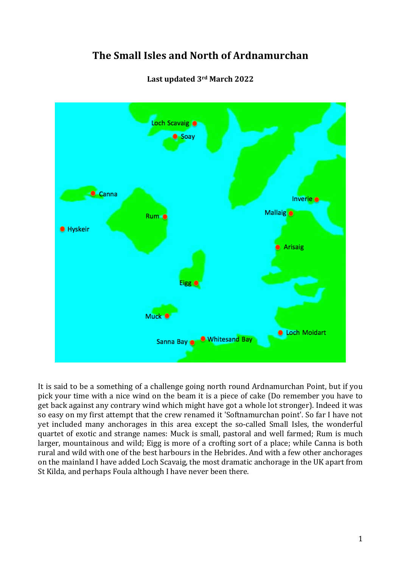# **The Small Isles and North of Ardnamurchan**



### **Last updated 3rd March 2022**

It is said to be a something of a challenge going north round Ardnamurchan Point, but if you pick your time with a nice wind on the beam it is a piece of cake (Do remember you have to get back against any contrary wind which might have got a whole lot stronger). Indeed it was so easy on my first attempt that the crew renamed it 'Softnamurchan point'. So far I have not yet included many anchorages in this area except the so-called Small Isles, the wonderful quartet of exotic and strange names: Muck is small, pastoral and well farmed; Rum is much larger, mountainous and wild; Eigg is more of a crofting sort of a place; while Canna is both rural and wild with one of the best harbours in the Hebrides. And with a few other anchorages on the mainland I have added Loch Scavaig, the most dramatic anchorage in the UK apart from St Kilda, and perhaps Foula although I have never been there.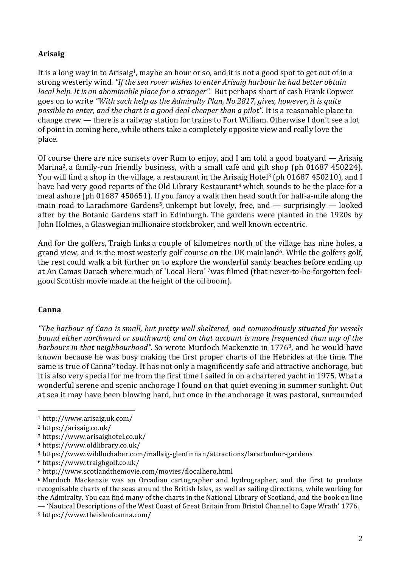# **Arisaig**

It is a long way in to Arisaig1, maybe an hour or so, and it is not a good spot to get out of in a strong westerly wind. *"If the sea rover wishes to enter Arisaig harbour he had better obtain local help. It is an abominable place for a stranger".* But perhaps short of cash Frank Copwer goes on to write *"With such help as the Admiralty Plan, No 2817, gives, however, it is quite possible to enter, and the chart is a good deal cheaper than a pilot".* It is a reasonable place to change crew — there is a railway station for trains to Fort William. Otherwise I don't see a lot of point in coming here, while others take a completely opposite view and really love the place.

Of course there are nice sunsets over Rum to enjoy, and I am told a good boatyard — Arisaig Marina2, a family-run friendly business, with a small café and gift shop (ph 01687 450224). You will find a shop in the village, a restaurant in the Arisaig Hotel<sup>3</sup> (ph 01687 450210), and I have had very good reports of the Old Library Restaurant<sup>4</sup> which sounds to be the place for a meal ashore (ph 01687 450651). If you fancy a walk then head south for half-a-mile along the main road to Larachmore Gardens5, unkempt but lovely, free, and — surprisingly — looked after by the Botanic Gardens staff in Edinburgh. The gardens were planted in the 1920s by John Holmes, a Glaswegian millionaire stockbroker, and well known eccentric.

And for the golfers, Traigh links a couple of kilometres north of the village has nine holes, a grand view, and is the most westerly golf course on the UK mainland<sup>6</sup>. While the golfers golf, the rest could walk a bit further on to explore the wonderful sandy beaches before ending up at An Camas Darach where much of 'Local Hero' 7was filmed (that never-to-be-forgotten feelgood Scottish movie made at the height of the oil boom).

#### **Canna**

*"The harbour of Cana is small, but pretty well sheltered, and commodiously situated for vessels bound either northward or southward; and on that account is more frequented than any of the harbours in that neighbourhood".* So wrote Murdoch Mackenzie in 17768, and he would have known because he was busy making the first proper charts of the Hebrides at the time. The same is true of Canna<sup>9</sup> today. It has not only a magnificently safe and attractive anchorage, but it is also very special for me from the first time I sailed in on a chartered yacht in 1975. What a wonderful serene and scenic anchorage I found on that quiet evening in summer sunlight. Out at sea it may have been blowing hard, but once in the anchorage it was pastoral, surrounded

 <sup>1</sup> http://www.arisaig.uk.com/

<sup>2</sup> https://arisaig.co.uk/

<sup>3</sup> https://www.arisaighotel.co.uk/

<sup>4</sup> https://www.oldlibrary.co.uk/

<sup>5</sup> https://www.wildlochaber.com/mallaig-glenfinnan/attractions/larachmhor-gardens

<sup>6</sup> https://www.traighgolf.co.uk/

<sup>7</sup> http://www.scotlandthemovie.com/movies/flocalhero.html

<sup>8</sup> Murdoch Mackenzie was an Orcadian cartographer and hydrographer, and the first to produce recognisable charts of the seas around the British Isles, as well as sailing directions, while working for the Admiralty. You can find many of the charts in the National Library of Scotland, and the book on line — 'Nautical Descriptions of the West Coast of Great Britain from Bristol Channel to Cape Wrath' 1776.

<sup>9</sup> https://www.theisleofcanna.com/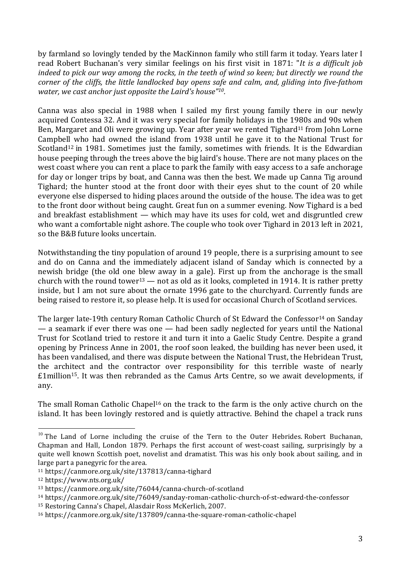by farmland so lovingly tended by the MacKinnon family who still farm it today. Years later I read Robert Buchanan's very similar feelings on his first visit in 1871: "*It is a difficult job* indeed to pick our way among the rocks, in the teeth of wind so keen; but directly we round the *corner of the cliffs, the little landlocked bay opens safe and calm, and, gliding into five-fathom water, we cast anchor just opposite the Laird's house"10.*

Canna was also special in 1988 when I sailed my first young family there in our newly acquired Contessa 32. And it was very special for family holidays in the 1980s and 90s when Ben, Margaret and Oli were growing up. Year after year we rented Tighard<sup>11</sup> from John Lorne Campbell who had owned the island from 1938 until he gave it to the National Trust for Scotland<sup>12</sup> in 1981. Sometimes just the family, sometimes with friends. It is the Edwardian house peeping through the trees above the big laird's house. There are not many places on the west coast where you can rent a place to park the family with easy access to a safe anchorage for day or longer trips by boat, and Canna was then the best. We made up Canna Tig around Tighard; the hunter stood at the front door with their eyes shut to the count of 20 while everyone else dispersed to hiding places around the outside of the house. The idea was to get to the front door without being caught. Great fun on a summer evening. Now Tighard is a bed and breakfast establishment — which may have its uses for cold, wet and disgruntled crew who want a comfortable night ashore. The couple who took over Tighard in 2013 left in 2021, so the B&B future looks uncertain.

Notwithstanding the tiny population of around 19 people, there is a surprising amount to see and do on Canna and the immediately adjacent island of Sanday which is connected by a newish bridge (the old one blew away in a gale). First up from the anchorage is the small church with the round tower<sup>13</sup> — not as old as it looks, completed in 1914. It is rather pretty inside, but I am not sure about the ornate 1996 gate to the churchyard. Currently funds are being raised to restore it, so please help. It is used for occasional Church of Scotland services.

The larger late-19th century Roman Catholic Church of St Edward the Confessor<sup>14</sup> on Sanday — a seamark if ever there was one — had been sadly neglected for years until the National Trust for Scotland tried to restore it and turn it into a Gaelic Study Centre. Despite a grand opening by Princess Anne in 2001, the roof soon leaked, the building has never been used, it has been vandalised, and there was dispute between the National Trust, the Hebridean Trust, the architect and the contractor over responsibility for this terrible waste of nearly  $£1$ million<sup>15</sup>. It was then rebranded as the Camus Arts Centre, so we await developments, if any.

The small Roman Catholic Chapel<sup>16</sup> on the track to the farm is the only active church on the island. It has been lovingly restored and is quietly attractive. Behind the chapel a track runs

 $10$  The Land of Lorne including the cruise of the Tern to the Outer Hebrides. Robert Buchanan, Chapman and Hall, London 1879. Perhaps the first account of west-coast sailing, surprisingly by a quite well known Scottish poet, novelist and dramatist. This was his only book about sailing, and in large part a panegyric for the area.

<sup>11</sup> https://canmore.org.uk/site/137813/canna-tighard

<sup>12</sup> https://www.nts.org.uk/

<sup>13</sup> https://canmore.org.uk/site/76044/canna-church-of-scotland

<sup>14</sup> https://canmore.org.uk/site/76049/sanday-roman-catholic-church-of-st-edward-the-confessor

<sup>15</sup> Restoring Canna's Chapel, Alasdair Ross McKerlich, 2007.

<sup>16</sup> https://canmore.org.uk/site/137809/canna-the-square-roman-catholic-chapel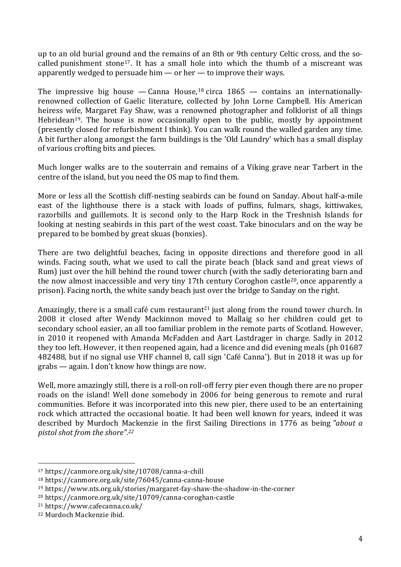up to an old burial ground and the remains of an 8th or 9th century Celtic cross, and the socalled punishment stone<sup>17</sup>. It has a small hole into which the thumb of a miscreant was apparently wedged to persuade him — or her — to improve their ways.

The impressive big house  $-$  Canna House,<sup>18</sup> circa  $1865 -$  contains an internationallyrenowned collection of Gaelic literature, collected by John Lorne Campbell. His American heiress wife, Margaret Fay Shaw, was a renowned photographer and folklorist of all things Hebridean<sup>19</sup>. The house is now occasionally open to the public, mostly by appointment (presently closed for refurbishment I think). You can walk round the walled garden any time. A bit further along amongst the farm buildings is the 'Old Laundry' which has a small display of various crofting bits and pieces.

Much longer walks are to the souterrain and remains of a Viking grave near Tarbert in the centre of the island, but you need the OS map to find them.

More or less all the Scottish cliff-nesting seabirds can be found on Sanday. About half-a-mile east of the lighthouse there is a stack with loads of puffins, fulmars, shags, kittiwakes, razorbills and guillemots. It is second only to the Harp Rock in the Treshnish Islands for looking at nesting seabirds in this part of the west coast. Take binoculars and on the way be prepared to be bombed by great skuas (bonxies).

There are two delightful beaches, facing in opposite directions and therefore good in all winds. Facing south, what we used to call the pirate beach (black sand and great views of Rum) just over the hill behind the round tower church (with the sadly deteriorating barn and the now almost inaccessible and very tiny 17th century Coroghon castle20, once apparently a prison). Facing north, the white sandy beach just over the bridge to Sanday on the right.

Amazingly, there is a small café cum restaurant<sup>21</sup> just along from the round tower church. In 2008 it closed after Wendy Mackinnon moved to Mallaig so her children could get to secondary school easier, an all too familiar problem in the remote parts of Scotland. However, in 2010 it reopened with Amanda McFadden and Aart Lastdrager in charge. Sadly in 2012 they too left. However, it then reopened again, had a licence and did evening meals (ph 01687 482488, but if no signal use VHF channel 8, call sign 'Café Canna'). But in 2018 it was up for grabs — again. I don't know how things are now.

Well, more amazingly still, there is a roll-on roll-off ferry pier even though there are no proper roads on the island! Well done somebody in 2006 for being generous to remote and rural communities. Before it was incorporated into this new pier, there used to be an entertaining rock which attracted the occasional boatie. It had been well known for years, indeed it was described by Murdoch Mackenzie in the first Sailing Directions in 1776 as being *"about a pistol shot from the shore".22*

<sup>17</sup> https://canmore.org.uk/site/10708/canna-a-chill

<sup>18</sup> https://canmore.org.uk/site/76045/canna-canna-house

<sup>19</sup> https://www.nts.org.uk/stories/margaret-fay-shaw-the-shadow-in-the-corner

<sup>20</sup> https://canmore.org.uk/site/10709/canna-coroghan-castle

<sup>21</sup> https://www.cafecanna.co.uk/

<sup>22</sup> Murdoch Mackenzie ibid.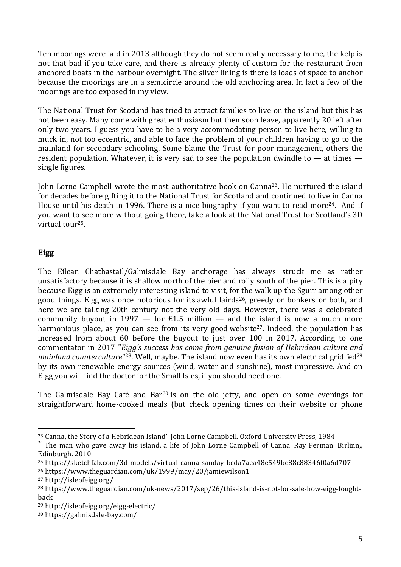Ten moorings were laid in 2013 although they do not seem really necessary to me, the kelp is not that bad if you take care, and there is already plenty of custom for the restaurant from anchored boats in the harbour overnight. The silver lining is there is loads of space to anchor because the moorings are in a semicircle around the old anchoring area. In fact a few of the moorings are too exposed in my view.

The National Trust for Scotland has tried to attract families to live on the island but this has not been easy. Many come with great enthusiasm but then soon leave, apparently 20 left after only two years. I guess you have to be a very accommodating person to live here, willing to muck in, not too eccentric, and able to face the problem of your children having to go to the mainland for secondary schooling. Some blame the Trust for poor management, others the resident population. Whatever, it is very sad to see the population dwindle to — at times single figures.

John Lorne Campbell wrote the most authoritative book on Canna23. He nurtured the island for decades before gifting it to the National Trust for Scotland and continued to live in Canna House until his death in 1996. There is a nice biography if you want to read more<sup>24</sup>. And if you want to see more without going there, take a look at the National Trust for Scotland's 3D virtual tour25.

### **Eigg**

The Eilean Chathastail/Galmisdale Bay anchorage has always struck me as rather unsatisfactory because it is shallow north of the pier and rolly south of the pier. This is a pity because Eigg is an extremely interesting island to visit, for the walk up the Sgurr among other good things. Eigg was once notorious for its awful lairds<sup>26</sup>, greedy or bonkers or both, and here we are talking 20th century not the very old days. However, there was a celebrated community buyout in 1997  $-$  for £1.5 million  $-$  and the island is now a much more harmonious place, as you can see from its very good website<sup>27</sup>. Indeed, the population has increased from about 60 before the buyout to just over 100 in 2017. According to one commentator in 2017 "*Eigg's success has come from genuine fusion of Hebridean culture and mainland counterculture*"<sup>28</sup>. Well, maybe. The island now even has its own electrical grid fed<sup>29</sup> by its own renewable energy sources (wind, water and sunshine), most impressive. And on Eigg you will find the doctor for the Small Isles, if you should need one.

The Galmisdale Bay Café and Bar<sup>30</sup> is on the old jetty, and open on some evenings for straightforward home-cooked meals (but check opening times on their website or phone

 <sup>23</sup> Canna, the Story of a Hebridean Island'. John Lorne Campbell. Oxford University Press, 1984

 $^{24}$  The man who gave away his island, a life of John Lorne Campbell of Canna. Ray Perman. Birlinn, Edinburgh. 2010

<sup>25</sup> https://sketchfab.com/3d-models/virtual-canna-sanday-bcda7aea48e549be88c88346f0a6d707

<sup>26</sup> https://www.theguardian.com/uk/1999/may/20/jamiewilson1

<sup>27</sup> http://isleofeigg.org/

<sup>28</sup> https://www.theguardian.com/uk-news/2017/sep/26/this-island-is-not-for-sale-how-eigg-foughtback

<sup>29</sup> http://isleofeigg.org/eigg-electric/

<sup>30</sup> https://galmisdale-bay.com/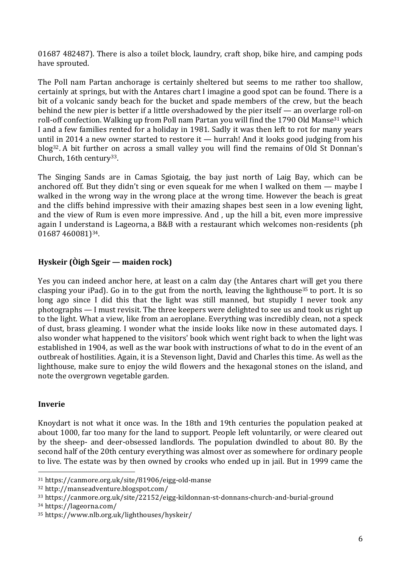01687 482487). There is also a toilet block, laundry, craft shop, bike hire, and camping pods have sprouted.

The Poll nam Partan anchorage is certainly sheltered but seems to me rather too shallow, certainly at springs, but with the Antares chart I imagine a good spot can be found. There is a bit of a volcanic sandy beach for the bucket and spade members of the crew, but the beach behind the new pier is better if a little overshadowed by the pier itself — an overlarge roll-on roll-off confection. Walking up from Poll nam Partan you will find the 1790 Old Manse<sup>31</sup> which I and a few families rented for a holiday in 1981. Sadly it was then left to rot for many years until in 2014 a new owner started to restore it — hurrah! And it looks good judging from his blog32. A bit further on across a small valley you will find the remains of Old St Donnan's Church, 16th century<sup>33</sup>.

The Singing Sands are in Camas Sgiotaig, the bay just north of Laig Bay, which can be anchored off. But they didn't sing or even squeak for me when I walked on them — maybe I walked in the wrong way in the wrong place at the wrong time. However the beach is great and the cliffs behind impressive with their amazing shapes best seen in a low evening light, and the view of Rum is even more impressive. And , up the hill a bit, even more impressive again I understand is Lageorna, a B&B with a restaurant which welcomes non-residents (ph 01687 460081)34.

# **Hyskeir (Òigh Sgeir — maiden rock)**

Yes you can indeed anchor here, at least on a calm day (the Antares chart will get you there clasping your iPad). Go in to the gut from the north, leaving the lighthouse<sup>35</sup> to port. It is so long ago since I did this that the light was still manned, but stupidly I never took any photographs — I must revisit. The three keepers were delighted to see us and took us right up to the light. What a view, like from an aeroplane. Everything was incredibly clean, not a speck of dust, brass gleaming. I wonder what the inside looks like now in these automated days. I also wonder what happened to the visitors' book which went right back to when the light was established in 1904, as well as the war book with instructions of what to do in the event of an outbreak of hostilities. Again, it is a Stevenson light, David and Charles this time. As well as the lighthouse, make sure to enjoy the wild flowers and the hexagonal stones on the island, and note the overgrown vegetable garden.

#### **Inverie**

Knoydart is not what it once was. In the 18th and 19th centuries the population peaked at about 1000, far too many for the land to support. People left voluntarily, or were cleared out by the sheep- and deer-obsessed landlords. The population dwindled to about 80. By the second half of the 20th century everything was almost over as somewhere for ordinary people to live. The estate was by then owned by crooks who ended up in jail. But in 1999 came the

<sup>34</sup> https://lageorna.com/

<sup>31</sup> https://canmore.org.uk/site/81906/eigg-old-manse

<sup>32</sup> http://manseadventure.blogspot.com/

<sup>33</sup> https://canmore.org.uk/site/22152/eigg-kildonnan-st-donnans-church-and-burial-ground

<sup>35</sup> https://www.nlb.org.uk/lighthouses/hyskeir/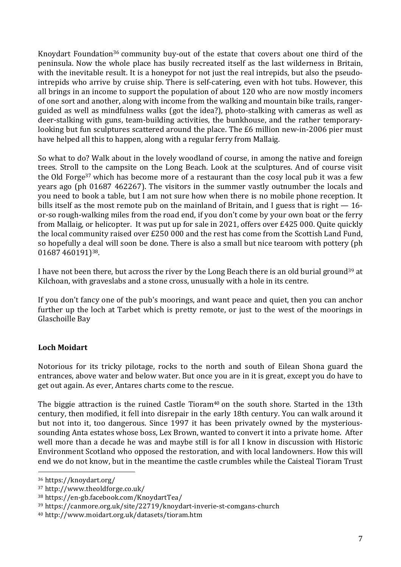Knoydart Foundation<sup>36</sup> community buy-out of the estate that covers about one third of the peninsula. Now the whole place has busily recreated itself as the last wilderness in Britain, with the inevitable result. It is a honevpot for not just the real intrepids, but also the pseudointrepids who arrive by cruise ship. There is self-catering, even with hot tubs. However, this all brings in an income to support the population of about 120 who are now mostly incomers of one sort and another, along with income from the walking and mountain bike trails, rangerguided as well as mindfulness walks (got the idea?), photo-stalking with cameras as well as deer-stalking with guns, team-building activities, the bunkhouse, and the rather temporarylooking but fun sculptures scattered around the place. The £6 million new-in-2006 pier must have helped all this to happen, along with a regular ferry from Mallaig.

So what to do? Walk about in the lovely woodland of course, in among the native and foreign trees. Stroll to the campsite on the Long Beach. Look at the sculptures. And of course visit the Old Forge37 which has become more of a restaurant than the cosy local pub it was a few years ago (ph 01687 462267). The visitors in the summer vastly outnumber the locals and you need to book a table, but I am not sure how when there is no mobile phone reception. It bills itself as the most remote pub on the mainland of Britain, and I guess that is right — 16 or-so rough-walking miles from the road end, if you don't come by your own boat or the ferry from Mallaig, or helicopter. It was put up for sale in 2021, offers over £425 000. Quite quickly the local community raised over £250 000 and the rest has come from the Scottish Land Fund, so hopefully a deal will soon be done. There is also a small but nice tearoom with pottery (ph 01687 460191)38.

I have not been there, but across the river by the Long Beach there is an old burial ground39 at Kilchoan, with graveslabs and a stone cross, unusually with a hole in its centre.

If you don't fancy one of the pub's moorings, and want peace and quiet, then you can anchor further up the loch at Tarbet which is pretty remote, or just to the west of the moorings in Glaschoille Bay

## **Loch Moidart**

Notorious for its tricky pilotage, rocks to the north and south of Eilean Shona guard the entrances, above water and below water. But once you are in it is great, except you do have to get out again. As ever, Antares charts come to the rescue.

The biggie attraction is the ruined Castle Tioram<sup>40</sup> on the south shore. Started in the 13th century, then modified, it fell into disrepair in the early 18th century. You can walk around it but not into it, too dangerous. Since 1997 it has been privately owned by the mysterioussounding Anta estates whose boss, Lex Brown, wanted to convert it into a private home. After well more than a decade he was and maybe still is for all I know in discussion with Historic Environment Scotland who opposed the restoration, and with local landowners. How this will end we do not know, but in the meantime the castle crumbles while the Caisteal Tioram Trust

<sup>36</sup> https://knoydart.org/

<sup>37</sup> http://www.theoldforge.co.uk/

<sup>38</sup> https://en-gb.facebook.com/KnoydartTea/

<sup>39</sup> https://canmore.org.uk/site/22719/knoydart-inverie-st-comgans-church

<sup>40</sup> http://www.moidart.org.uk/datasets/tioram.htm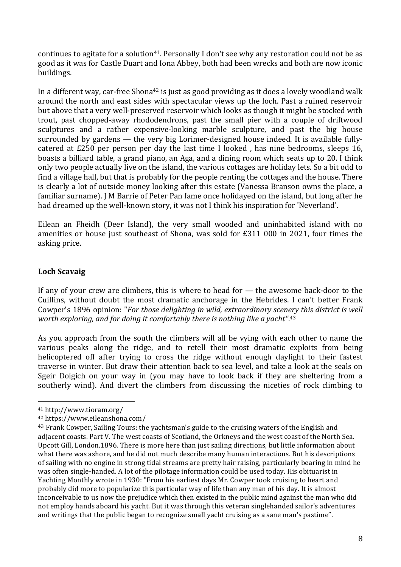continues to agitate for a solution<sup>41</sup>. Personally I don't see why any restoration could not be as good as it was for Castle Duart and Iona Abbey, both had been wrecks and both are now iconic buildings.

In a different way, car-free Shona<sup>42</sup> is just as good providing as it does a lovely woodland walk around the north and east sides with spectacular views up the loch. Past a ruined reservoir but above that a very well-preserved reservoir which looks as though it might be stocked with trout, past chopped-away rhododendrons, past the small pier with a couple of driftwood sculptures and a rather expensive-looking marble sculpture, and past the big house surrounded by gardens — the very big Lorimer-designed house indeed. It is available fullycatered at £250 per person per day the last time I looked , has nine bedrooms, sleeps 16, boasts a billiard table, a grand piano, an Aga, and a dining room which seats up to 20. I think only two people actually live on the island, the various cottages are holiday lets. So a bit odd to find a village hall, but that is probably for the people renting the cottages and the house. There is clearly a lot of outside money looking after this estate (Vanessa Branson owns the place, a familiar surname). J M Barrie of Peter Pan fame once holidayed on the island, but long after he had dreamed up the well-known story, it was not I think his inspiration for 'Neverland'.

Eilean an Fheidh (Deer Island), the very small wooded and uninhabited island with no amenities or house just southeast of Shona, was sold for £311 000 in 2021, four times the asking price.

### **Loch Scavaig**

If any of your crew are climbers, this is where to head for — the awesome back-door to the Cuillins, without doubt the most dramatic anchorage in the Hebrides. I can't better Frank Cowper's 1896 opinion: "*For those delighting in wild, extraordinary scenery this district is well worth exploring, and for doing it comfortably there is nothing like a yacht"*. 43

As you approach from the south the climbers will all be vying with each other to name the various peaks along the ridge, and to retell their most dramatic exploits from being helicoptered off after trying to cross the ridge without enough daylight to their fastest traverse in winter. But draw their attention back to sea level, and take a look at the seals on Sgeir Doigich on your way in (you may have to look back if they are sheltering from a southerly wind). And divert the climbers from discussing the niceties of rock climbing to

<sup>41</sup> http://www.tioram.org/

<sup>42</sup> https://www.eileanshona.com/

<sup>&</sup>lt;sup>43</sup> Frank Cowper, Sailing Tours: the yachtsman's guide to the cruising waters of the English and adiacent coasts. Part V. The west coasts of Scotland, the Orkneys and the west coast of the North Sea. Upcott Gill, London.1896. There is more here than just sailing directions, but little information about what there was ashore, and he did not much describe many human interactions. But his descriptions of sailing with no engine in strong tidal streams are pretty hair raising, particularly bearing in mind he was often single-handed. A lot of the pilotage information could be used today. His obituarist in Yachting Monthly wrote in 1930: "From his earliest days Mr. Cowper took cruising to heart and probably did more to popularize this particular way of life than any man of his day. It is almost inconceivable to us now the prejudice which then existed in the public mind against the man who did not employ hands aboard his yacht. But it was through this veteran singlehanded sailor's adventures and writings that the public began to recognize small yacht cruising as a sane man's pastime".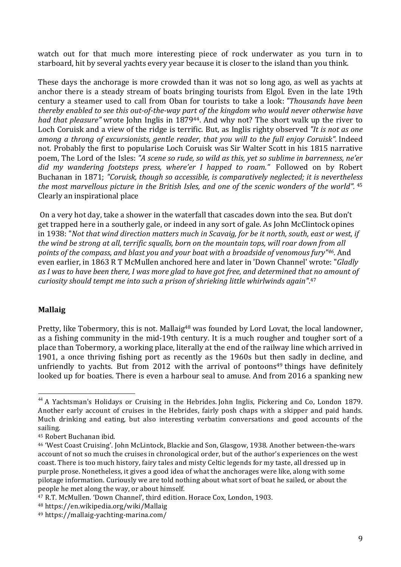watch out for that much more interesting piece of rock underwater as you turn in to starboard, hit by several yachts every year because it is closer to the island than you think.

These days the anchorage is more crowded than it was not so long ago, as well as yachts at anchor there is a steady stream of boats bringing tourists from Elgol. Even in the late 19th century a steamer used to call from Oban for tourists to take a look: *"Thousands have been thereby enabled to see this out-of-the-way part of the kingdom who would never otherwise have had that pleasure"* wrote John Inglis in 187944. And why not? The short walk up the river to Loch Coruisk and a view of the ridge is terrific. But, as Inglis righty observed *"It is not as one among a throng of excursionists, gentle reader, that you will to the full enjoy Coruisk".* Indeed not. Probably the first to popularise Loch Coruisk was Sir Walter Scott in his 1815 narrative poem, The Lord of the Isles: *"A scene so rude, so wild as this, yet so sublime in barrenness, ne'er did my wandering footsteps press, where'er I happed to roam."* Followed on by Robert Buchanan in 1871; *"Coruisk, though so accessible, is comparatively neglected; it is nevertheless the most marvellous picture in the British Isles, and one of the scenic wonders of the world".* <sup>45</sup> Clearly an inspirational place

On a very hot day, take a shower in the waterfall that cascades down into the sea. But don't get trapped here in a southerly gale, or indeed in any sort of gale. As John McClintock opines in 1938: "*Not that wind direction matters much in Scavaig, for be it north, south, east or west, if the wind be strong at all, terrific squalls, born on the mountain tops, will roar down from all points of the compass, and blast you and your boat with a broadside of venomous fury"46.* And even earlier, in 1863 R T McMullen anchored here and later in 'Down Channel' wrote: "*Gladly* as I was to have been there. I was more alad to have got free, and determined that no amount of *curiosity should tempt me into such a prison of shrieking little whirlwinds again"*. 47

#### **Mallaig**

Pretty, like Tobermory, this is not. Mallaig<sup>48</sup> was founded by Lord Lovat, the local landowner, as a fishing community in the mid-19th century. It is a much rougher and tougher sort of a place than Tobermory, a working place, literally at the end of the railway line which arrived in 1901, a once thriving fishing port as recently as the 1960s but then sadly in decline, and unfriendly to yachts. But from 2012 with the arrival of pontoons<sup>49</sup> things have definitely looked up for boaties. There is even a harbour seal to amuse. And from 2016 a spanking new

<sup>&</sup>lt;sup>44</sup> A Yachtsman's Holidays or Cruising in the Hebrides. John Inglis, Pickering and Co, London 1879. Another early account of cruises in the Hebrides, fairly posh chaps with a skipper and paid hands. Much drinking and eating, but also interesting verbatim conversations and good accounts of the sailing.

<sup>&</sup>lt;sup>45</sup> Robert Buchanan ibid.

<sup>46</sup> 'West Coast Cruising'. John McLintock, Blackie and Son, Glasgow, 1938. Another between-the-wars account of not so much the cruises in chronological order, but of the author's experiences on the west coast. There is too much history, fairy tales and misty Celtic legends for my taste, all dressed up in purple prose. Nonetheless, it gives a good idea of what the anchorages were like, along with some pilotage information. Curiously we are told nothing about what sort of boat he sailed, or about the people he met along the way, or about himself.

<sup>&</sup>lt;sup>47</sup> R.T. McMullen. 'Down Channel', third edition. Horace Cox, London, 1903.

<sup>48</sup> https://en.wikipedia.org/wiki/Mallaig

<sup>49</sup> https://mallaig-yachting-marina.com/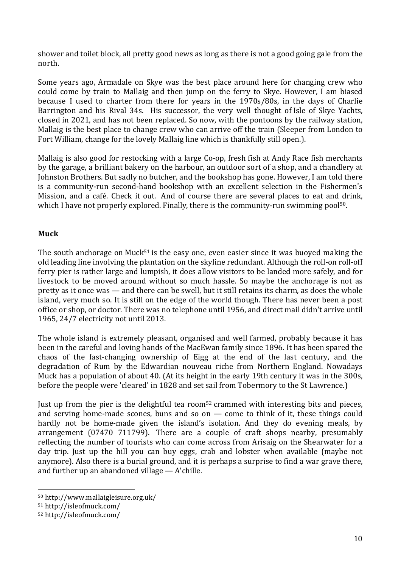shower and toilet block, all pretty good news as long as there is not a good going gale from the north.

Some years ago, Armadale on Skye was the best place around here for changing crew who could come by train to Mallaig and then jump on the ferry to Skye. However, I am biased because I used to charter from there for years in the 1970s/80s, in the days of Charlie Barrington and his Rival 34s. His successor, the very well thought of Isle of Skye Yachts, closed in 2021, and has not been replaced. So now, with the pontoons by the railway station, Mallaig is the best place to change crew who can arrive off the train (Sleeper from London to Fort William, change for the lovely Mallaig line which is thankfully still open.).

Mallaig is also good for restocking with a large Co-op, fresh fish at Andy Race fish merchants by the garage, a brilliant bakery on the harbour, an outdoor sort of a shop, and a chandlery at Johnston Brothers. But sadly no butcher, and the bookshop has gone. However, I am told there is a community-run second-hand bookshop with an excellent selection in the Fishermen's Mission, and a café. Check it out. And of course there are several places to eat and drink, which I have not properly explored. Finally, there is the community-run swimming pool<sup>50</sup>.

### **Muck**

The south anchorage on Muck<sup>51</sup> is the easy one, even easier since it was buoyed making the old leading line involving the plantation on the skyline redundant. Although the roll-on roll-off ferry pier is rather large and lumpish, it does allow visitors to be landed more safely, and for livestock to be moved around without so much hassle. So maybe the anchorage is not as pretty as it once was — and there can be swell, but it still retains its charm, as does the whole island, very much so. It is still on the edge of the world though. There has never been a post office or shop, or doctor. There was no telephone until 1956, and direct mail didn't arrive until 1965, 24/7 electricity not until 2013.

The whole island is extremely pleasant, organised and well farmed, probably because it has been in the careful and loving hands of the MacEwan family since 1896. It has been spared the chaos of the fast-changing ownership of Eigg at the end of the last century, and the degradation of Rum by the Edwardian nouveau riche from Northern England. Nowadays Muck has a population of about 40. (At its height in the early 19th century it was in the 300s, before the people were 'cleared' in 1828 and set sail from Tobermory to the St Lawrence.)

Just up from the pier is the delightful tea room<sup>52</sup> crammed with interesting bits and pieces, and serving home-made scones, buns and so on — come to think of it, these things could hardly not be home-made given the island's isolation. And they do evening meals, by arrangement (07470 711799). There are a couple of craft shops nearby, presumably reflecting the number of tourists who can come across from Arisaig on the Shearwater for a day trip. Just up the hill you can buy eggs, crab and lobster when available (maybe not anymore). Also there is a burial ground, and it is perhaps a surprise to find a war grave there, and further up an abandoned village — A'chille.

<sup>50</sup> http://www.mallaigleisure.org.uk/

<sup>51</sup> http://isleofmuck.com/

<sup>52</sup> http://isleofmuck.com/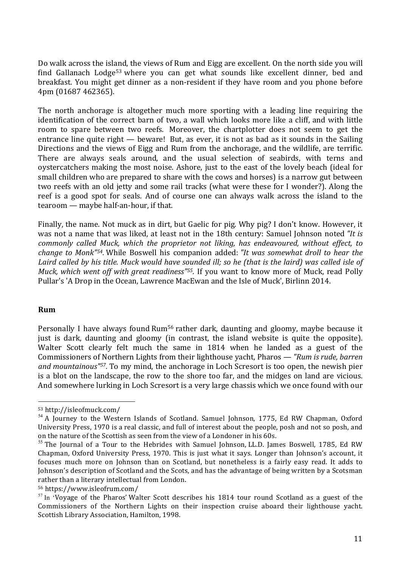Do walk across the island, the views of Rum and Eigg are excellent. On the north side you will find Gallanach Lodge<sup>53</sup> where you can get what sounds like excellent dinner, bed and breakfast. You might get dinner as a non-resident if they have room and you phone before 4pm (01687 462365).

The north anchorage is altogether much more sporting with a leading line requiring the identification of the correct barn of two, a wall which looks more like a cliff, and with little room to spare between two reefs. Moreover, the chartplotter does not seem to get the entrance line quite right — beware! But, as ever, it is not as bad as it sounds in the Sailing Directions and the views of Eigg and Rum from the anchorage, and the wildlife, are terrific. There are always seals around, and the usual selection of seabirds, with terns and oystercatchers making the most noise. Ashore, just to the east of the lovely beach (ideal for small children who are prepared to share with the cows and horses) is a narrow gut between two reefs with an old jetty and some rail tracks (what were these for I wonder?). Along the reef is a good spot for seals. And of course one can always walk across the island to the tearoom — maybe half-an-hour, if that.

Finally, the name. Not muck as in dirt, but Gaelic for pig. Why pig? I don't know. However, it was not a name that was liked, at least not in the 18th century: Samuel Johnson noted *"It is commonly called Muck, which the proprietor not liking, has endeavoured, without effect, to change to Monk"54.* While Boswell his companion added: *"It was somewhat droll to hear the* Laird called by his title. Muck would have sounded ill: so he (that is the laird) was called isle of *Muck, which went off with great readiness"55.* If you want to know more of Muck, read Polly Pullar's 'A Drop in the Ocean, Lawrence MacEwan and the Isle of Muck', Birlinn 2014.

#### **Rum**

Personally I have always found Rum56 rather dark, daunting and gloomy, maybe because it just is dark, daunting and gloomy (in contrast, the island website is quite the opposite). Walter Scott clearly felt much the same in 1814 when he landed as a guest of the Commissioners of Northern Lights from their lighthouse yacht, Pharos — *"Rum is rude, barren and mountainous"57.* To my mind, the anchorage in Loch Scresort is too open, the newish pier is a blot on the landscape, the row to the shore too far, and the midges on land are vicious. And somewhere lurking in Loch Scresort is a very large chassis which we once found with our

<sup>53</sup> http://isleofmuck.com/

 $54$  A Journey to the Western Islands of Scotland. Samuel Johnson, 1775, Ed RW Chapman, Oxford University Press, 1970 is a real classic, and full of interest about the people, posh and not so posh, and on the nature of the Scottish as seen from the view of a Londoner in his 60s.

<sup>&</sup>lt;sup>55</sup> The Iournal of a Tour to the Hebrides with Samuel Johnson, LL.D. James Boswell, 1785, Ed RW Chapman, Oxford University Press, 1970. This is just what it says. Longer than Johnson's account, it focuses much more on Johnson than on Scotland, but nonetheless is a fairly easy read. It adds to Johnson's description of Scotland and the Scots, and has the advantage of being written by a Scotsman rather than a literary intellectual from London.

<sup>56</sup> https://www.isleofrum.com/

 $57$  In 'Voyage of the Pharos' Walter Scott describes his 1814 tour round Scotland as a guest of the Commissioners of the Northern Lights on their inspection cruise aboard their lighthouse yacht. Scottish Library Association, Hamilton, 1998.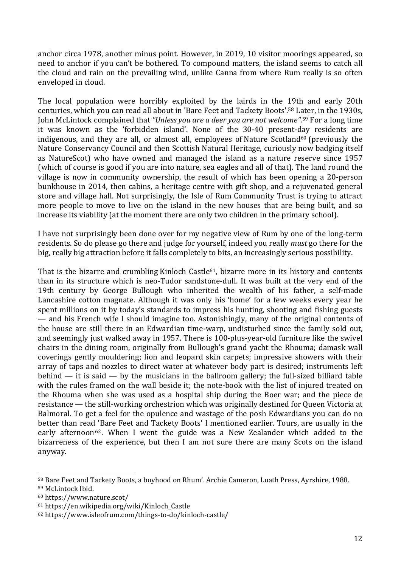anchor circa 1978, another minus point. However, in 2019, 10 visitor moorings appeared, so need to anchor if you can't be bothered. To compound matters, the island seems to catch all the cloud and rain on the prevailing wind, unlike Canna from where Rum really is so often enveloped in cloud.

The local population were horribly exploited by the lairds in the 19th and early 20th centuries, which you can read all about in 'Bare Feet and Tackety Boots'. <sup>58</sup> Later, in the 1930s, John McLintock complained that *"Unless you are a deer you are not welcome"*. <sup>59</sup> For a long time it was known as the 'forbidden island'. None of the 30-40 present-day residents are indigenous, and they are all, or almost all, employees of Nature Scotland<sup>60</sup> (previously the Nature Conservancy Council and then Scottish Natural Heritage, curiously now badging itself as NatureScot) who have owned and managed the island as a nature reserve since 1957 (which of course is good if you are into nature, sea eagles and all of that). The land round the village is now in community ownership, the result of which has been opening a 20-person bunkhouse in 2014, then cabins, a heritage centre with gift shop, and a rejuvenated general store and village hall. Not surprisingly, the Isle of Rum Community Trust is trying to attract more people to move to live on the island in the new houses that are being built, and so increase its viability (at the moment there are only two children in the primary school).

I have not surprisingly been done over for my negative view of Rum by one of the long-term residents. So do please go there and judge for yourself, indeed you really *must* go there for the big, really big attraction before it falls completely to bits, an increasingly serious possibility.

That is the bizarre and crumbling Kinloch Castle<sup>61</sup>, bizarre more in its history and contents than in its structure which is neo-Tudor sandstone-dull. It was built at the very end of the 19th century by George Bullough who inherited the wealth of his father, a self-made Lancashire cotton magnate. Although it was only his 'home' for a few weeks every year he spent millions on it by today's standards to impress his hunting, shooting and fishing guests — and his French wife I should imagine too. Astonishingly, many of the original contents of the house are still there in an Edwardian time-warp, undisturbed since the family sold out, and seemingly just walked away in 1957. There is 100-plus-year-old furniture like the swivel chairs in the dining room, originally from Bullough's grand yacht the Rhouma; damask wall coverings gently mouldering; lion and leopard skin carpets; impressive showers with their array of taps and nozzles to direct water at whatever body part is desired; instruments left behind  $-$  it is said  $-$  by the musicians in the ballroom gallery; the full-sized billiard table with the rules framed on the wall beside it; the note-book with the list of injured treated on the Rhouma when she was used as a hospital ship during the Boer war; and the piece de resistance — the still-working orchestrion which was originally destined for Queen Victoria at Balmoral. To get a feel for the opulence and wastage of the posh Edwardians you can do no better than read 'Bare Feet and Tackety Boots' I mentioned earlier. Tours, are usually in the early afternoon<sup>62</sup>. When I went the guide was a New Zealander which added to the bizarreness of the experience, but then I am not sure there are many Scots on the island anyway.

<sup>58</sup> Bare Feet and Tackety Boots, a boyhood on Rhum'. Archie Cameron, Luath Press, Ayrshire, 1988.

<sup>59</sup> McLintock Ibid.

<sup>60</sup> https://www.nature.scot/

<sup>61</sup> https://en.wikipedia.org/wiki/Kinloch\_Castle

<sup>62</sup> https://www.isleofrum.com/things-to-do/kinloch-castle/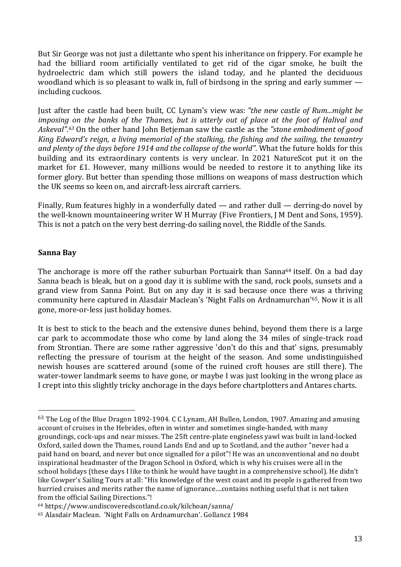But Sir George was not just a dilettante who spent his inheritance on frippery. For example he had the billiard room artificially ventilated to get rid of the cigar smoke, he built the hydroelectric dam which still powers the island today, and he planted the deciduous woodland which is so pleasant to walk in, full of birdsong in the spring and early summer including cuckoos.

Just after the castle had been built, CC Lynam's view was: *"the new castle of Rum...might be imposing on the banks of the Thames, but is utterly out of place at the foot of Halival and Askeval".63* On the other hand John Betjeman saw the castle as the *"stone embodiment of good King Edward's reign, a living memorial of the stalking, the fishing and the sailing, the tenantry and plenty of the days before 1914 and the collapse of the world"*. What the future holds for this building and its extraordinary contents is very unclear. In 2021 NatureScot put it on the market for £1. However, many millions would be needed to restore it to anything like its former glory. But better than spending those millions on weapons of mass destruction which the UK seems so keen on, and aircraft-less aircraft carriers.

Finally, Rum features highly in a wonderfully dated — and rather dull — derring-do novel by the well-known mountaineering writer W H Murray (Five Frontiers, J M Dent and Sons, 1959). This is not a patch on the very best derring-do sailing novel, the Riddle of the Sands.

#### **Sanna Bay**

 

The anchorage is more off the rather suburban Portuairk than Sanna<sup>64</sup> itself. On a bad day Sanna beach is bleak, but on a good day it is sublime with the sand, rock pools, sunsets and a grand view from Sanna Point. But on any day it is sad because once there was a thriving community here captured in Alasdair Maclean's 'Night Falls on Ardnamurchan'65. Now it is all gone, more-or-less just holiday homes.

It is best to stick to the beach and the extensive dunes behind, beyond them there is a large car park to accommodate those who come by land along the 34 miles of single-track road from Strontian. There are some rather aggressive 'don't do this and that' signs, presumably reflecting the pressure of tourism at the height of the season. And some undistinguished newish houses are scattered around (some of the ruined croft houses are still there). The water-tower landmark seems to have gone, or maybe I was just looking in the wrong place as I crept into this slightly tricky anchorage in the days before chartplotters and Antares charts.

<sup>63</sup> The Log of the Blue Dragon 1892-1904. C C Lynam, AH Bullen, London, 1907. Amazing and amusing account of cruises in the Hebrides, often in winter and sometimes single-handed, with many groundings, cock-ups and near misses. The 25ft centre-plate engineless yawl was built in land-locked Oxford, sailed down the Thames, round Lands End and up to Scotland, and the author "never had a paid hand on board, and never but once signalled for a pilot"! He was an unconventional and no doubt inspirational headmaster of the Dragon School in Oxford, which is why his cruises were all in the school holidays (these days I like to think he would have taught in a comprehensive school). He didn't like Cowper's Sailing Tours at all: "His knowledge of the west coast and its people is gathered from two hurried cruises and merits rather the name of ignorance....contains nothing useful that is not taken from the official Sailing Directions."!

<sup>64</sup> https://www.undiscoveredscotland.co.uk/kilchoan/sanna/

<sup>&</sup>lt;sup>65</sup> Alasdair Maclean. 'Night Falls on Ardnamurchan'. Gollancz 1984